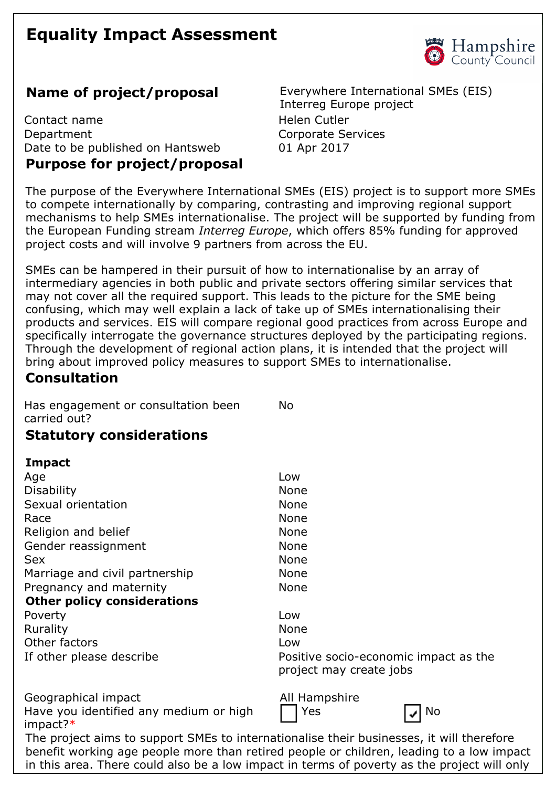# **Equality Impact Assessment**



Contact name **Helen** Cutler Department Corporate Services Date to be published on Hantsweb 01 Apr 2017 **Purpose for project/proposal** 

**Name of project/proposal** Everywhere International SMEs (EIS) Interreg Europe project

The purpose of the Everywhere International SMEs (EIS) project is to support more SMEs to compete internationally by comparing, contrasting and improving regional support mechanisms to help SMEs internationalise. The project will be supported by funding from the European Funding stream *Interreg Europe*, which offers 85% funding for approved project costs and will involve 9 partners from across the EU.

SMEs can be hampered in their pursuit of how to internationalise by an array of intermediary agencies in both public and private sectors offering similar services that may not cover all the required support. This leads to the picture for the SME being confusing, which may well explain a lack of take up of SMEs internationalising their products and services. EIS will compare regional good practices from across Europe and specifically interrogate the governance structures deployed by the participating regions. Through the development of regional action plans, it is intended that the project will bring about improved policy measures to support SMEs to internationalise.

#### **Consultation**

Has engagement or consultation been carried out? No

## **Statutory considerations**

#### **Impact**

| Age                                | Low                                                              |
|------------------------------------|------------------------------------------------------------------|
| <b>Disability</b>                  | <b>None</b>                                                      |
| Sexual orientation                 | <b>None</b>                                                      |
| Race                               | None                                                             |
| Religion and belief                | <b>None</b>                                                      |
| Gender reassignment                | <b>None</b>                                                      |
| <b>Sex</b>                         | <b>None</b>                                                      |
| Marriage and civil partnership     | <b>None</b>                                                      |
| Pregnancy and maternity            | <b>None</b>                                                      |
| <b>Other policy considerations</b> |                                                                  |
| Poverty                            | Low                                                              |
| Rurality                           | <b>None</b>                                                      |
| Other factors                      | Low                                                              |
| If other please describe           | Positive socio-economic impact as the<br>project may create jobs |
| Concreption import                 | All Hampchiro                                                    |

Geographical impact All Hampshire Have you identified any medium or high impact?\*

Yes **No.** No.



The project aims to support SMEs to internationalise their businesses, it will therefore benefit working age people more than retired people or children, leading to a low impact in this area. There could also be a low impact in terms of poverty as the project will only